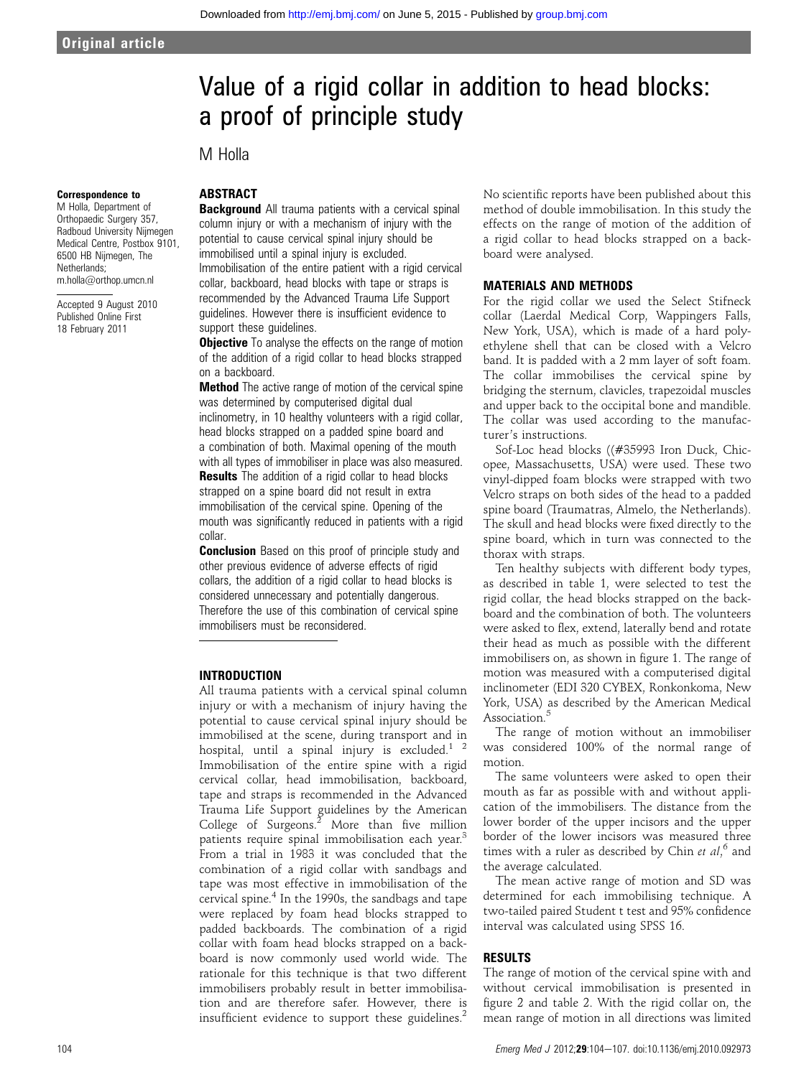# Value of a rigid collar in addition to head blocks: a proof of principle study

M Holla

#### Correspondence to

M Holla, Department of Orthopaedic Surgery 357, Radboud University Nijmegen Medical Centre, Postbox 9101, 6500 HB Nijmegen, The Netherlands; m.holla@orthop.umcn.nl

Accepted 9 August 2010 Published Online First 18 February 2011

### ABSTRACT

**Background** All trauma patients with a cervical spinal column injury or with a mechanism of injury with the potential to cause cervical spinal injury should be immobilised until a spinal injury is excluded. Immobilisation of the entire patient with a rigid cervical collar, backboard, head blocks with tape or straps is recommended by the Advanced Trauma Life Support guidelines. However there is insufficient evidence to support these guidelines.

**Objective** To analyse the effects on the range of motion of the addition of a rigid collar to head blocks strapped on a backboard.

**Method** The active range of motion of the cervical spine was determined by computerised digital dual inclinometry, in 10 healthy volunteers with a rigid collar, head blocks strapped on a padded spine board and a combination of both. Maximal opening of the mouth with all types of immobiliser in place was also measured. **Results** The addition of a rigid collar to head blocks strapped on a spine board did not result in extra immobilisation of the cervical spine. Opening of the mouth was significantly reduced in patients with a rigid collar.

**Conclusion** Based on this proof of principle study and other previous evidence of adverse effects of rigid collars, the addition of a rigid collar to head blocks is considered unnecessary and potentially dangerous. Therefore the use of this combination of cervical spine immobilisers must be reconsidered.

# INTRODUCTION

All trauma patients with a cervical spinal column injury or with a mechanism of injury having the potential to cause cervical spinal injury should be immobilised at the scene, during transport and in hospital, until a spinal injury is excluded. $1^2$ Immobilisation of the entire spine with a rigid cervical collar, head immobilisation, backboard, tape and straps is recommended in the Advanced Trauma Life Support guidelines by the American College of  $Surgeons.<sup>2</sup>$  More than five million patients require spinal immobilisation each year.<sup>3</sup> From a trial in 1983 it was concluded that the combination of a rigid collar with sandbags and tape was most effective in immobilisation of the cervical spine.<sup>4</sup> In the 1990s, the sandbags and tape were replaced by foam head blocks strapped to padded backboards. The combination of a rigid collar with foam head blocks strapped on a backboard is now commonly used world wide. The rationale for this technique is that two different immobilisers probably result in better immobilisation and are therefore safer. However, there is insufficient evidence to support these guidelines.<sup>2</sup>

No scientific reports have been published about this method of double immobilisation. In this study the effects on the range of motion of the addition of a rigid collar to head blocks strapped on a backboard were analysed.

#### MATERIALS AND METHODS

For the rigid collar we used the Select Stifneck collar (Laerdal Medical Corp, Wappingers Falls, New York, USA), which is made of a hard polyethylene shell that can be closed with a Velcro band. It is padded with a 2 mm layer of soft foam. The collar immobilises the cervical spine by bridging the sternum, clavicles, trapezoidal muscles and upper back to the occipital bone and mandible. The collar was used according to the manufacturer's instructions.

Sof-Loc head blocks ((#35993 Iron Duck, Chicopee, Massachusetts, USA) were used. These two vinyl-dipped foam blocks were strapped with two Velcro straps on both sides of the head to a padded spine board (Traumatras, Almelo, the Netherlands). The skull and head blocks were fixed directly to the spine board, which in turn was connected to the thorax with straps.

Ten healthy subjects with different body types, as described in table 1, were selected to test the rigid collar, the head blocks strapped on the backboard and the combination of both. The volunteers were asked to flex, extend, laterally bend and rotate their head as much as possible with the different immobilisers on, as shown in figure 1. The range of motion was measured with a computerised digital inclinometer (EDI 320 CYBEX, Ronkonkoma, New York, USA) as described by the American Medical Association.<sup>5</sup>

The range of motion without an immobiliser was considered 100% of the normal range of motion.

The same volunteers were asked to open their mouth as far as possible with and without application of the immobilisers. The distance from the lower border of the upper incisors and the upper border of the lower incisors was measured three times with a ruler as described by Chin et  $al$ ,  $6$  and the average calculated.

The mean active range of motion and SD was determined for each immobilising technique. A two-tailed paired Student t test and 95% confidence interval was calculated using SPSS 16.

#### **RESULTS**

The range of motion of the cervical spine with and without cervical immobilisation is presented in figure 2 and table 2. With the rigid collar on, the mean range of motion in all directions was limited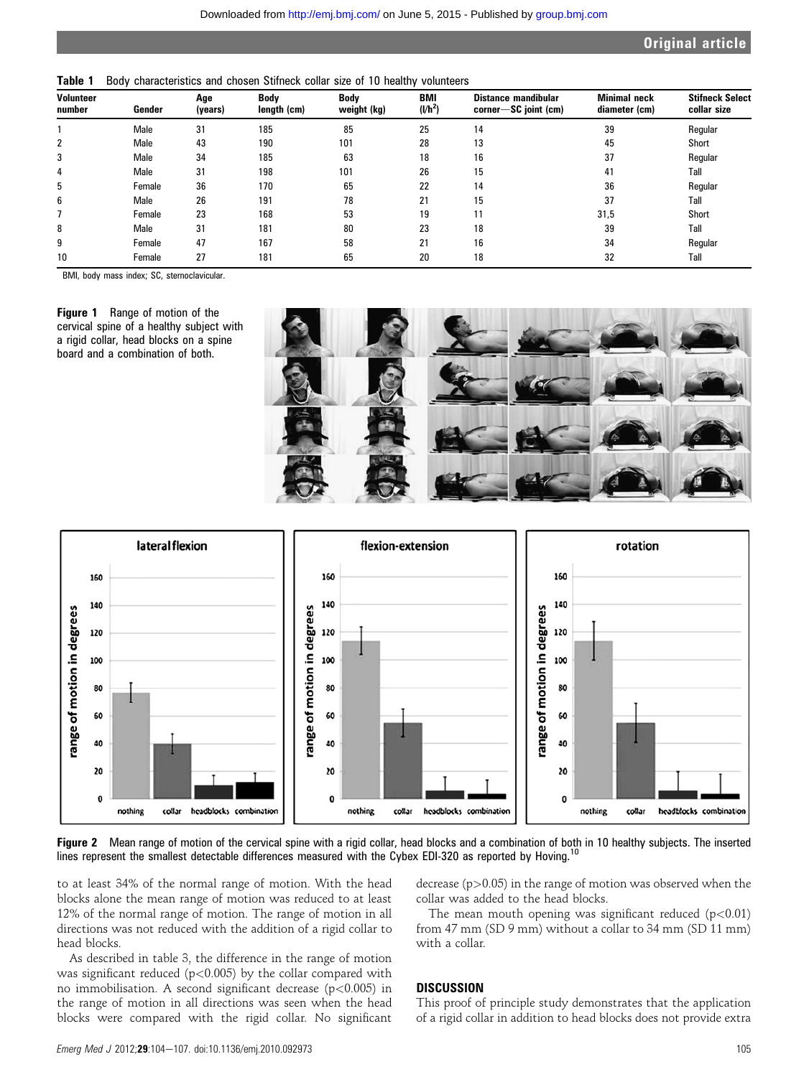# Original article

Table 1 Body characteristics and chosen Stifneck collar size of 10 healthy volunteers

| <b>Volunteer</b><br>number | Gender | Age<br>(years) | <b>Body</b><br>length (cm) | <b>Body</b><br>weight (kg) | <b>BMI</b><br>$(1/h^2)$ | Distance mandibular<br>corner-SC joint (cm) | <b>Minimal neck</b><br>diameter (cm) | <b>Stifneck Select</b><br>collar size |
|----------------------------|--------|----------------|----------------------------|----------------------------|-------------------------|---------------------------------------------|--------------------------------------|---------------------------------------|
|                            | Male   | 31             | 185                        | 85                         | 25                      | 14                                          | 39                                   | Regular                               |
| $\overline{2}$             | Male   | 43             | 190                        | 101                        | 28                      | 13                                          | 45                                   | Short                                 |
| 3                          | Male   | 34             | 185                        | 63                         | 18                      | 16                                          | 37                                   | Regular                               |
| 4                          | Male   | 31             | 198                        | 101                        | 26                      | 15                                          | 41                                   | Tall                                  |
| 5                          | Female | 36             | 170                        | 65                         | 22                      | 14                                          | 36                                   | Regular                               |
| 6                          | Male   | 26             | 191                        | 78                         | 21                      | 15                                          | 37                                   | Tall                                  |
|                            | Female | 23             | 168                        | 53                         | 19                      | 11                                          | 31,5                                 | Short                                 |
| 8                          | Male   | 31             | 181                        | 80                         | 23                      | 18                                          | 39                                   | Tall                                  |
| 9                          | Female | 47             | 167                        | 58                         | 21                      | 16                                          | 34                                   | Regular                               |
| 10                         | Female | 27             | 181                        | 65                         | 20                      | 18                                          | 32                                   | Tall                                  |

BMI, body mass index; SC, sternoclavicular.

Figure 1 Range of motion of the cervical spine of a healthy subject with a rigid collar, head blocks on a spine board and a combination of both.





Figure 2 Mean range of motion of the cervical spine with a rigid collar, head blocks and a combination of both in 10 healthy subjects. The inserted lines represent the smallest detectable differences measured with the Cybex EDI-320 as reported by Hoving.<sup>10</sup>

to at least 34% of the normal range of motion. With the head blocks alone the mean range of motion was reduced to at least 12% of the normal range of motion. The range of motion in all directions was not reduced with the addition of a rigid collar to head blocks.

As described in table 3, the difference in the range of motion was significant reduced ( $p$ <0.005) by the collar compared with no immobilisation. A second significant decrease  $(p<0.005)$  in the range of motion in all directions was seen when the head blocks were compared with the rigid collar. No significant decrease  $(p>0.05)$  in the range of motion was observed when the collar was added to the head blocks.

The mean mouth opening was significant reduced  $(p<0.01)$ from 47 mm (SD 9 mm) without a collar to 34 mm (SD 11 mm) with a collar.

## **DISCUSSION**

This proof of principle study demonstrates that the application of a rigid collar in addition to head blocks does not provide extra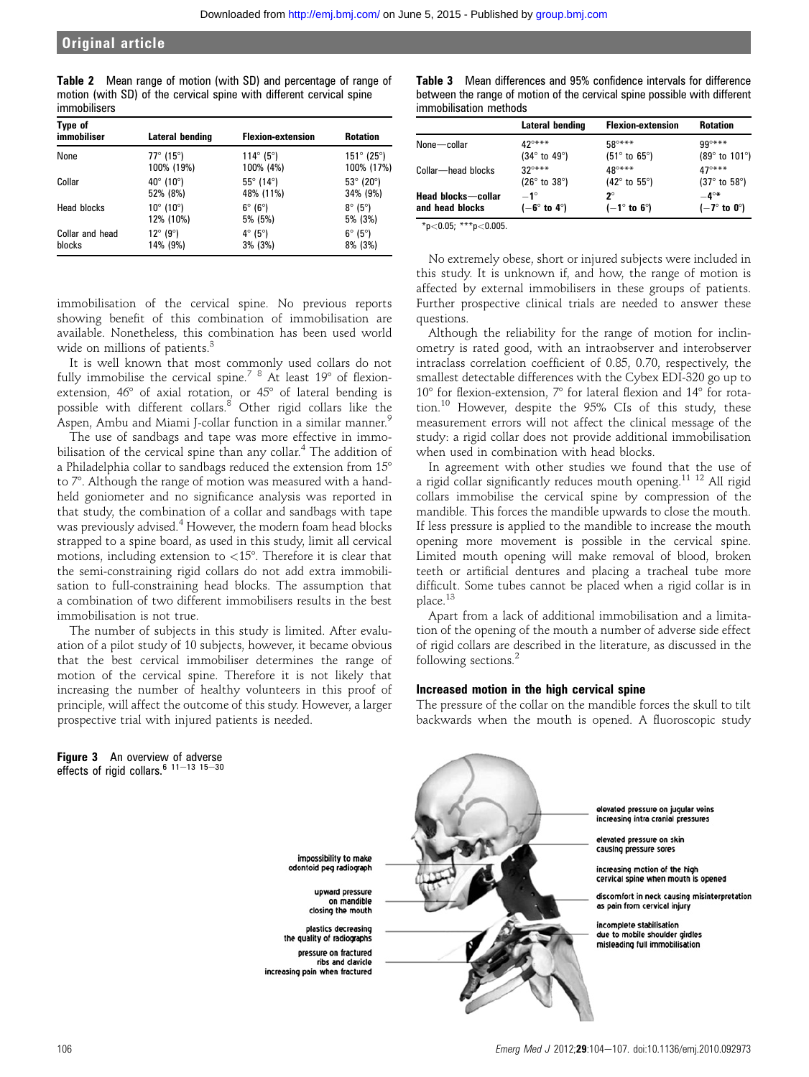wide on millions of patients.<sup>3</sup>

immobilisation is not true.

Table 2 Mean range of motion (with SD) and percentage of range of motion (with SD) of the cervical spine with different cervical spine immobilisers

| Type of<br>immobiliser | Lateral bending               | <b>Flexion-extension</b>       | <b>Rotation</b>               |
|------------------------|-------------------------------|--------------------------------|-------------------------------|
| None                   | $77^{\circ}$ (15°)            | 114 $^{\circ}$ (5 $^{\circ}$ ) | $151^{\circ}$ (25°)           |
|                        | 100% (19%)                    | 100% (4%)                      | 100% (17%)                    |
| Collar                 | $40^{\circ}$ (10 $^{\circ}$ ) | $55^{\circ}$ (14°)             | $53^{\circ}$ (20 $^{\circ}$ ) |
|                        | 52% (8%)                      | 48% (11%)                      | 34% (9%)                      |
| <b>Head blocks</b>     | $10^{\circ}$ (10 $^{\circ}$ ) | $6^{\circ}$ ( $6^{\circ}$ )    | $8^{\circ}$ (5°)              |
|                        | 12% (10%)                     | 5% (5%)                        | 5% (3%)                       |
| Collar and head        | 12 $^{\circ}$ (9 $^{\circ}$ ) | $4^{\circ}$ (5°)               | $6^{\circ}$ (5 $^{\circ}$ )   |
| blocks                 | 14% (9%)                      | 3% (3%)                        | 8% (3%)                       |

immobilisation of the cervical spine. No previous reports showing benefit of this combination of immobilisation are available. Nonetheless, this combination has been used world

It is well known that most commonly used collars do not fully immobilise the cervical spine.<sup>7</sup>  $8$  At least 19 $\degree$  of flexionextension,  $46^{\circ}$  of axial rotation, or  $45^{\circ}$  of lateral bending is possible with different collars.<sup>8</sup> Other rigid collars like the Aspen, Ambu and Miami J-collar function in a similar manner.<sup>9</sup> The use of sandbags and tape was more effective in immobilisation of the cervical spine than any collar.<sup>4</sup> The addition of a Philadelphia collar to sandbags reduced the extension from 15° to 7°. Although the range of motion was measured with a handheld goniometer and no significance analysis was reported in that study, the combination of a collar and sandbags with tape was previously advised.<sup>4</sup> However, the modern foam head blocks strapped to a spine board, as used in this study, limit all cervical motions, including extension to  $<$  15°. Therefore it is clear that the semi-constraining rigid collars do not add extra immobilisation to full-constraining head blocks. The assumption that a combination of two different immobilisers results in the best

The number of subjects in this study is limited. After evaluation of a pilot study of 10 subjects, however, it became obvious that the best cervical immobiliser determines the range of motion of the cervical spine. Therefore it is not likely that increasing the number of healthy volunteers in this proof of principle, will affect the outcome of this study. However, a larger

prospective trial with injured patients is needed.

Table 3 Mean differences and 95% confidence intervals for difference between the range of motion of the cervical spine possible with different immobilisation methods

|                    | Lateral bending                  | <b>Flexion-extension</b>         | <b>Rotation</b>                  |
|--------------------|----------------------------------|----------------------------------|----------------------------------|
| None-collar        | $42^{\circ***}$                  | $58^{\circ***}$                  | $qq^{o***}$                      |
|                    | $(34^{\circ}$ to $49^{\circ})$   | $(51^{\circ}$ to $65^{\circ})$   | $(89^{\circ}$ to $101^{\circ})$  |
| Collar-head blocks | $32^{0***}$                      | $48^{\circ***}$                  | $47^{\circ***}$                  |
|                    | $(26^{\circ}$ to $38^{\circ})$   | $(42^{\circ}$ to $55^{\circ})$   | $(37^\circ$ to $58^\circ$ )      |
| Head blocks—collar | $-1^\circ$                       | 20                               | $-4^\circ{}^*$                   |
| and head blocks    | $(-6^\circ \text{ to } 4^\circ)$ | $(-1^\circ \text{ to } 6^\circ)$ | $(-7^\circ \text{ to } 0^\circ)$ |

 $*p<0.05$ ;  $**p<0.005$ .

No extremely obese, short or injured subjects were included in this study. It is unknown if, and how, the range of motion is affected by external immobilisers in these groups of patients. Further prospective clinical trials are needed to answer these questions.

Although the reliability for the range of motion for inclinometry is rated good, with an intraobserver and interobserver intraclass correlation coefficient of 0.85, 0.70, respectively, the smallest detectable differences with the Cybex EDI-320 go up to  $10^{\circ}$  for flexion-extension,  $7^{\circ}$  for lateral flexion and  $14^{\circ}$  for rotation.<sup>10</sup> However, despite the 95% CIs of this study, these measurement errors will not affect the clinical message of the study: a rigid collar does not provide additional immobilisation when used in combination with head blocks.

In agreement with other studies we found that the use of a rigid collar significantly reduces mouth opening.<sup>11 12</sup> All rigid collars immobilise the cervical spine by compression of the mandible. This forces the mandible upwards to close the mouth. If less pressure is applied to the mandible to increase the mouth opening more movement is possible in the cervical spine. Limited mouth opening will make removal of blood, broken teeth or artificial dentures and placing a tracheal tube more difficult. Some tubes cannot be placed when a rigid collar is in place.<sup>13</sup>

Apart from a lack of additional immobilisation and a limitation of the opening of the mouth a number of adverse side effect of rigid collars are described in the literature, as discussed in the following sections.<sup>2</sup>

#### Increased motion in the high cervical spine

The pressure of the collar on the mandible forces the skull to tilt backwards when the mouth is opened. A fluoroscopic study



106 Emerg Med J 2012;29:104-107. doi:10.1136/emj.2010.092973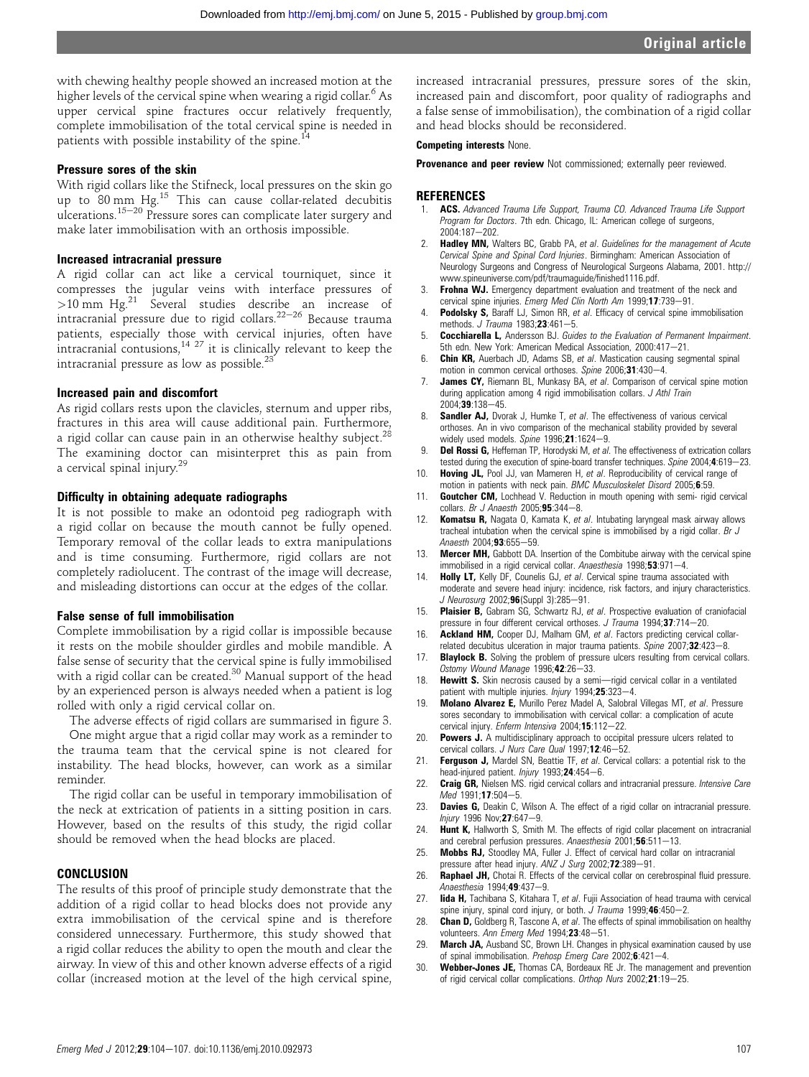with chewing healthy people showed an increased motion at the higher levels of the cervical spine when wearing a rigid collar.<sup>6</sup> As upper cervical spine fractures occur relatively frequently, complete immobilisation of the total cervical spine is needed in patients with possible instability of the spine.<sup>14</sup>

#### Pressure sores of the skin

With rigid collars like the Stifneck, local pressures on the skin go up to 80 mm Hg.<sup>15</sup> This can cause collar-related decubitis  $\mu$ l $\alpha$ lcerations. $^{15-20}$  Pressure sores can complicate later surgery and make later immobilisation with an orthosis impossible.

#### Increased intracranial pressure

A rigid collar can act like a cervical tourniquet, since it compresses the jugular veins with interface pressures of  $>10$  mm Hg.<sup>21</sup> Several studies describe an increase of  $intracranial pressure due to rigid collars.<sup>22–26</sup> Because trauma$ patients, especially those with cervical injuries, often have  $\mu$ <sup>14</sup> 27 it is clinically relevant to keep the intracranial pressure as low as possible.<sup>23</sup>

#### Increased pain and discomfort

As rigid collars rests upon the clavicles, sternum and upper ribs, fractures in this area will cause additional pain. Furthermore, a rigid collar can cause pain in an otherwise healthy subject.<sup>28</sup> The examining doctor can misinterpret this as pain from a cervical spinal injury.29

#### Difficulty in obtaining adequate radiographs

It is not possible to make an odontoid peg radiograph with a rigid collar on because the mouth cannot be fully opened. Temporary removal of the collar leads to extra manipulations and is time consuming. Furthermore, rigid collars are not completely radiolucent. The contrast of the image will decrease, and misleading distortions can occur at the edges of the collar.

#### False sense of full immobilisation

Complete immobilisation by a rigid collar is impossible because it rests on the mobile shoulder girdles and mobile mandible. A false sense of security that the cervical spine is fully immobilised with a rigid collar can be created. $^{\rm 30}$  Manual support of the head by an experienced person is always needed when a patient is log rolled with only a rigid cervical collar on.

The adverse effects of rigid collars are summarised in figure 3.

One might argue that a rigid collar may work as a reminder to the trauma team that the cervical spine is not cleared for instability. The head blocks, however, can work as a similar reminder.

The rigid collar can be useful in temporary immobilisation of the neck at extrication of patients in a sitting position in cars. However, based on the results of this study, the rigid collar should be removed when the head blocks are placed.

#### **CONCLUSION**

The results of this proof of principle study demonstrate that the addition of a rigid collar to head blocks does not provide any extra immobilisation of the cervical spine and is therefore considered unnecessary. Furthermore, this study showed that a rigid collar reduces the ability to open the mouth and clear the airway. In view of this and other known adverse effects of a rigid collar (increased motion at the level of the high cervical spine,

increased intracranial pressures, pressure sores of the skin, increased pain and discomfort, poor quality of radiographs and a false sense of immobilisation), the combination of a rigid collar and head blocks should be reconsidered.

#### Competing interests None.

**Provenance and peer review** Not commissioned; externally peer reviewed.

#### **REFERENCES**

- 1. **ACS.** Advanced Trauma Life Support, Trauma CO. Advanced Trauma Life Support Program for Doctors. 7th edn. Chicago, IL: American college of surgeons, 2004:187-202.
- Hadley MN, Walters BC, Grabb PA, et al. Guidelines for the management of Acute Cervical Spine and Spinal Cord Injuries. Birmingham: American Association of Neurology Surgeons and Congress of Neurological Surgeons Alabama, 2001. http:// www.spineuniverse.com/pdf/traumaguide/finished1116.pdf.
- 3. Frohna WJ. Emergency department evaluation and treatment of the neck and cervical spine injuries. Emerg Med Clin North Am 1999;17:739-91.
- Podolsky S, Baraff LJ, Simon RR, et al. Efficacy of cervical spine immobilisation methods. J Trauma  $1983:23:461-5$ .
- 5. **Cocchiarella L**, Andersson BJ. Guides to the Evaluation of Permanent Impairment. 5th edn. New York: American Medical Association, 2000:417-21.
- 6. Chin KR, Auerbach JD, Adams SB, et al. Mastication causing segmental spinal motion in common cervical orthoses. Spine 2006;31:430-4.
- 7. James CY, Riemann BL, Munkasy BA, et al. Comparison of cervical spine motion during application among 4 rigid immobilisation collars. J Athl Train 2004:39:138-45.
- 8. Sandler AJ, Dvorak J, Humke T, et al. The effectiveness of various cervical orthoses. An in vivo comparison of the mechanical stability provided by several widely used models. Spine  $1996:21:1624-9$ .
- 9. Del Rossi G, Heffernan TP, Horodyski M, et al. The effectiveness of extrication collars tested during the execution of spine-board transfer techniques. Spine  $2004;4.619-23$ .
- 10. **Hoving JL,** Pool JJ, van Mameren H, et al. Reproducibility of cervical range of motion in patients with neck pain. BMC Musculoskelet Disord 2005:6:59.
- 11. Goutcher CM, Lochhead V. Reduction in mouth opening with semi- rigid cervical collars. Br J Anaesth  $2005:95:344-8$ .
- 12. Komatsu R, Nagata O, Kamata K, et al. Intubating laryngeal mask airway allows tracheal intubation when the cervical spine is immobilised by a rigid collar. Br J Anaesth 2004;93:655-59.
- 13. **Mercer MH**, Gabbott DA, Insertion of the Combitube airway with the cervical spine immobilised in a rigid cervical collar. Anaesthesia 1998;53:971-4.
- 14. Holly LT, Kelly DF, Counelis GJ, et al. Cervical spine trauma associated with moderate and severe head injury: incidence, risk factors, and injury characteristics. J Neurosurg 2002;  $96$ (Suppl 3): $285 - 91$ .
- 15. Plaisier B, Gabram SG, Schwartz RJ, et al. Prospective evaluation of craniofacial pressure in four different cervical orthoses. J Trauma 1994;37:714-20.
- 16. Ackland HM, Cooper DJ, Malham GM, et al. Factors predicting cervical collarrelated decubitus ulceration in major trauma patients. Spine  $2007;32:423-8$ .
- 17. Blaylock B. Solving the problem of pressure ulcers resulting from cervical collars. Ostomy Wound Manage  $1996,42.26-33$ .
- 18. **Hewitt S.** Skin necrosis caused by a semi-rigid cervical collar in a ventilated patient with multiple injuries. Injury 1994;25:323-4.
- 19. Molano Alvarez E, Murillo Perez Madel A, Salobral Villegas MT, et al. Pressure sores secondary to immobilisation with cervical collar: a complication of acute cervical injury. Enferm Intensiva 2004;15:112-22.
- 20. Powers J. A multidisciplinary approach to occipital pressure ulcers related to cervical collars. J Nurs Care Qual 1997;12:46-52.
- 21. Ferguson J, Mardel SN, Beattie TF, et al. Cervical collars: a potential risk to the head-injured patient. Injury 1993;24:454-6.
- 22. Craig GR, Nielsen MS. rigid cervical collars and intracranial pressure. Intensive Care Med 1991;17:504-5.
- 23. Davies G, Deakin C, Wilson A. The effect of a rigid collar on intracranial pressure. Injury 1996 Nov; 27:647-9.
- 24. Hunt K, Hallworth S, Smith M. The effects of rigid collar placement on intracranial and cerebral perfusion pressures. Anaesthesia 2001;56:511-13.
- 25. Mobbs RJ, Stoodley MA, Fuller J. Effect of cervical hard collar on intracranial pressure after head injury. ANZ J Surg 2002;72:389-91.
- 26. Raphael JH, Chotai R. Effects of the cervical collar on cerebrospinal fluid pressure. Anaesthesia 1994;49:437-9.
- 27. Iida H, Tachibana S, Kitahara T, et al. Fujii Association of head trauma with cervical spine injury, spinal cord injury, or both. J Trauma 1999;46:450-2.
- 28. Chan D, Goldberg R, Tascone A, et al. The effects of spinal immobilisation on healthy volunteers. Ann Emerg Med 1994; $23:48-51$ .
- 29. **March JA,** Ausband SC, Brown LH. Changes in physical examination caused by use of spinal immobilisation. Prehosp Emerg Care  $2002; 6:421-4$ .
- 30. Webber-Jones JE, Thomas CA, Bordeaux RE Jr. The management and prevention of rigid cervical collar complications. Orthop Nurs 2002;21:19-25.